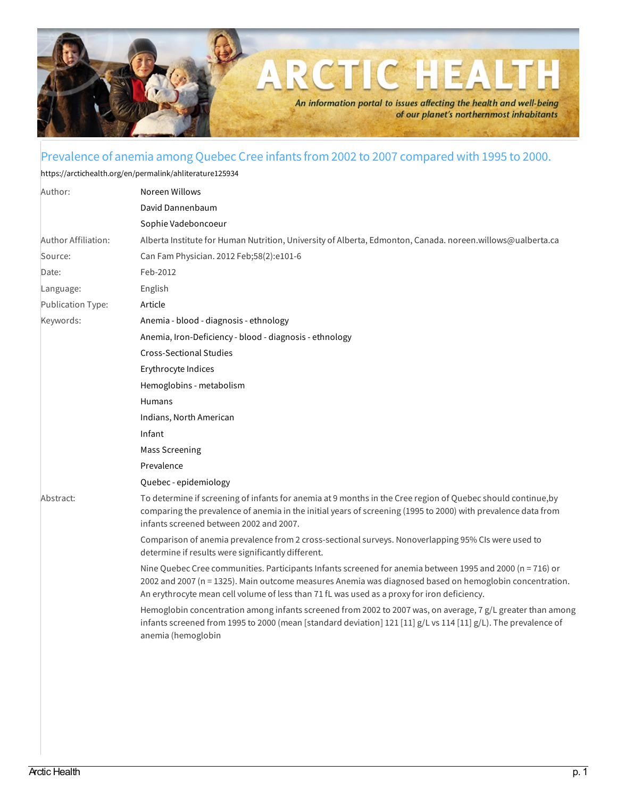

## Prevalence of anemia among Quebec Cree infants from 2002 to 2007 compared with 1995 to 2000.

<https://arctichealth.org/en/permalink/ahliterature125934>

| Author:             | Noreen Willows                                                                                                                                                                                                                                                                                                      |
|---------------------|---------------------------------------------------------------------------------------------------------------------------------------------------------------------------------------------------------------------------------------------------------------------------------------------------------------------|
|                     | David Dannenbaum                                                                                                                                                                                                                                                                                                    |
|                     | Sophie Vadeboncoeur                                                                                                                                                                                                                                                                                                 |
| Author Affiliation: | Alberta Institute for Human Nutrition, University of Alberta, Edmonton, Canada. noreen.willows@ualberta.ca                                                                                                                                                                                                          |
| Source:             | Can Fam Physician. 2012 Feb;58(2):e101-6                                                                                                                                                                                                                                                                            |
| Date:               | Feb-2012                                                                                                                                                                                                                                                                                                            |
| Language:           | English                                                                                                                                                                                                                                                                                                             |
| Publication Type:   | Article                                                                                                                                                                                                                                                                                                             |
| Keywords:           | Anemia - blood - diagnosis - ethnology                                                                                                                                                                                                                                                                              |
|                     | Anemia, Iron-Deficiency - blood - diagnosis - ethnology                                                                                                                                                                                                                                                             |
|                     | <b>Cross-Sectional Studies</b>                                                                                                                                                                                                                                                                                      |
|                     | Erythrocyte Indices                                                                                                                                                                                                                                                                                                 |
|                     | Hemoglobins - metabolism                                                                                                                                                                                                                                                                                            |
|                     | Humans                                                                                                                                                                                                                                                                                                              |
|                     | Indians, North American                                                                                                                                                                                                                                                                                             |
|                     | Infant                                                                                                                                                                                                                                                                                                              |
|                     | <b>Mass Screening</b>                                                                                                                                                                                                                                                                                               |
|                     | Prevalence                                                                                                                                                                                                                                                                                                          |
|                     | Quebec - epidemiology                                                                                                                                                                                                                                                                                               |
| Abstract:           | To determine if screening of infants for anemia at 9 months in the Cree region of Quebec should continue, by<br>comparing the prevalence of anemia in the initial years of screening (1995 to 2000) with prevalence data from<br>infants screened between 2002 and 2007.                                            |
|                     | Comparison of anemia prevalence from 2 cross-sectional surveys. Nonoverlapping 95% CIs were used to<br>determine if results were significantly different.                                                                                                                                                           |
|                     | Nine Quebec Cree communities. Participants Infants screened for anemia between 1995 and 2000 (n = 716) or<br>2002 and 2007 (n = 1325). Main outcome measures Anemia was diagnosed based on hemoglobin concentration.<br>An erythrocyte mean cell volume of less than 71 fL was used as a proxy for iron deficiency. |
|                     | Hemoglobin concentration among infants screened from 2002 to 2007 was, on average, 7 g/L greater than among<br>infants screened from 1995 to 2000 (mean [standard deviation] 121 [11] g/L vs 114 [11] g/L). The prevalence of<br>anemia (hemoglobin                                                                 |